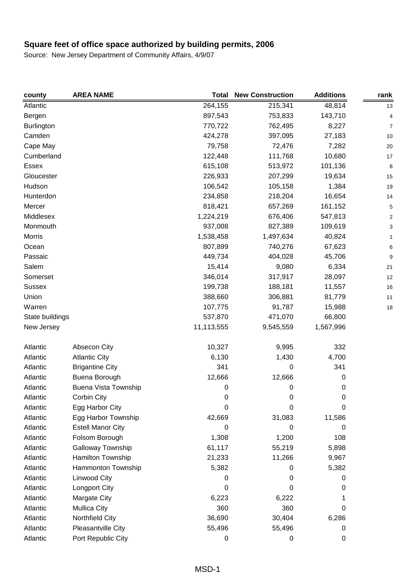| county            | <b>AREA NAME</b>         | <b>Total</b> | <b>New Construction</b> | <b>Additions</b> | rank                    |
|-------------------|--------------------------|--------------|-------------------------|------------------|-------------------------|
| Atlantic          |                          | 264,155      | 215,341                 | 48,814           | 13                      |
| Bergen            |                          | 897,543      | 753,833                 | 143,710          | 4                       |
| <b>Burlington</b> |                          | 770,722      | 762,495                 | 8,227            | 7                       |
| Camden            |                          | 424,278      | 397,095                 | 27,183           | 10                      |
| Cape May          |                          | 79,758       | 72,476                  | 7,282            | 20                      |
| Cumberland        |                          | 122,448      | 111,768                 | 10,680           | 17                      |
| Essex             |                          | 615,108      | 513,972                 | 101,136          | 8                       |
| Gloucester        |                          | 226,933      | 207,299                 | 19,634           | 15                      |
| Hudson            |                          | 106,542      | 105,158                 | 1,384            | 19                      |
| Hunterdon         |                          | 234,858      | 218,204                 | 16,654           | 14                      |
| Mercer            |                          | 818,421      | 657,269                 | 161,152          | 5                       |
| Middlesex         |                          | 1,224,219    | 676,406                 | 547,813          | $\overline{\mathbf{c}}$ |
| Monmouth          |                          | 937,008      | 827,389                 | 109,619          | 3                       |
| <b>Morris</b>     |                          | 1,538,458    | 1,497,634               | 40,824           | $\mathbf 1$             |
| Ocean             |                          | 807,899      | 740,276                 | 67,623           | 6                       |
| Passaic           |                          | 449,734      | 404,028                 | 45,706           | 9                       |
| Salem             |                          | 15,414       | 9,080                   | 6,334            | 21                      |
| Somerset          |                          | 346,014      | 317,917                 | 28,097           | 12                      |
| <b>Sussex</b>     |                          | 199,738      | 188,181                 | 11,557           | 16                      |
| Union             |                          | 388,660      | 306,881                 | 81,779           | 11                      |
| Warren            |                          | 107,775      | 91,787                  | 15,988           | 18                      |
| State buildings   |                          | 537,870      | 471,070                 | 66,800           |                         |
| New Jersey        |                          | 11,113,555   | 9,545,559               | 1,567,996        |                         |
| Atlantic          | Absecon City             | 10,327       | 9,995                   | 332              |                         |
| Atlantic          | <b>Atlantic City</b>     | 6,130        | 1,430                   | 4,700            |                         |
| Atlantic          | <b>Brigantine City</b>   | 341          | 0                       | 341              |                         |
| Atlantic          | Buena Borough            | 12,666       | 12,666                  | 0                |                         |
| Atlantic          | Buena Vista Township     | 0            | 0                       | $\mathbf 0$      |                         |
| Atlantic          | Corbin City              | 0            | 0                       | $\mathbf 0$      |                         |
| Atlantic          | Egg Harbor City          | 0            | 0                       | 0                |                         |
| Atlantic          | Egg Harbor Township      | 42,669       | 31,083                  | 11,586           |                         |
| Atlantic          | <b>Estell Manor City</b> | 0            | 0                       | 0                |                         |
| Atlantic          | Folsom Borough           | 1,308        | 1,200                   | 108              |                         |
| Atlantic          | Galloway Township        | 61,117       | 55,219                  | 5,898            |                         |
| Atlantic          | Hamilton Township        | 21,233       | 11,266                  | 9,967            |                         |
| Atlantic          | Hammonton Township       | 5,382        | 0                       | 5,382            |                         |
| Atlantic          | Linwood City             | 0            | 0                       | 0                |                         |
| Atlantic          | Longport City            | 0            | 0                       | 0                |                         |
| Atlantic          | Margate City             | 6,223        | 6,222                   |                  |                         |
| Atlantic          | <b>Mullica City</b>      | 360          | 360                     | 0                |                         |
| Atlantic          | Northfield City          | 36,690       | 30,404                  | 6,286            |                         |
| Atlantic          | Pleasantville City       | 55,496       | 55,496                  | 0                |                         |
| Atlantic          | Port Republic City       | $\pmb{0}$    | 0                       | 0                |                         |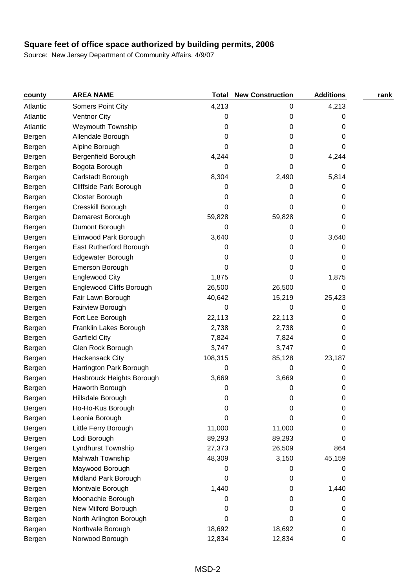| county   | <b>AREA NAME</b>          | Total   | <b>New Construction</b> | <b>Additions</b> | rank |
|----------|---------------------------|---------|-------------------------|------------------|------|
| Atlantic | Somers Point City         | 4,213   | 0                       | 4,213            |      |
| Atlantic | <b>Ventnor City</b>       | 0       | 0                       | 0                |      |
| Atlantic | Weymouth Township         | 0       | 0                       | 0                |      |
| Bergen   | Allendale Borough         | 0       | 0                       | 0                |      |
| Bergen   | Alpine Borough            | 0       | 0                       | 0                |      |
| Bergen   | Bergenfield Borough       | 4,244   | 0                       | 4,244            |      |
| Bergen   | Bogota Borough            | 0       | 0                       | 0                |      |
| Bergen   | Carlstadt Borough         | 8,304   | 2,490                   | 5,814            |      |
| Bergen   | Cliffside Park Borough    | 0       | 0                       | 0                |      |
| Bergen   | Closter Borough           | 0       | 0                       | 0                |      |
| Bergen   | Cresskill Borough         | 0       | 0                       | 0                |      |
| Bergen   | Demarest Borough          | 59,828  | 59,828                  | 0                |      |
| Bergen   | Dumont Borough            | 0       | 0                       | 0                |      |
| Bergen   | Elmwood Park Borough      | 3,640   | 0                       | 3,640            |      |
| Bergen   | East Rutherford Borough   | 0       | 0                       | 0                |      |
| Bergen   | Edgewater Borough         | 0       | 0                       | 0                |      |
| Bergen   | Emerson Borough           | 0       | 0                       | 0                |      |
| Bergen   | <b>Englewood City</b>     | 1,875   | 0                       | 1,875            |      |
| Bergen   | Englewood Cliffs Borough  | 26,500  | 26,500                  | 0                |      |
| Bergen   | Fair Lawn Borough         | 40,642  | 15,219                  | 25,423           |      |
| Bergen   | Fairview Borough          | 0       | 0                       | 0                |      |
| Bergen   | Fort Lee Borough          | 22,113  | 22,113                  | 0                |      |
| Bergen   | Franklin Lakes Borough    | 2,738   | 2,738                   | 0                |      |
| Bergen   | <b>Garfield City</b>      | 7,824   | 7,824                   | 0                |      |
| Bergen   | Glen Rock Borough         | 3,747   | 3,747                   | 0                |      |
| Bergen   | <b>Hackensack City</b>    | 108,315 | 85,128                  | 23,187           |      |
| Bergen   | Harrington Park Borough   | 0       | 0                       | 0                |      |
| Bergen   | Hasbrouck Heights Borough | 3,669   | 3,669                   | 0                |      |
| Bergen   | Haworth Borough           | 0       | 0                       | 0                |      |
| Bergen   | Hillsdale Borough         | 0       | 0                       | 0                |      |
| Bergen   | Ho-Ho-Kus Borough         | 0       | 0                       | 0                |      |
| Bergen   | Leonia Borough            | 0       | 0                       | 0                |      |
| Bergen   | Little Ferry Borough      | 11,000  | 11,000                  | 0                |      |
| Bergen   | Lodi Borough              | 89,293  | 89,293                  | 0                |      |
| Bergen   | Lyndhurst Township        | 27,373  | 26,509                  | 864              |      |
| Bergen   | Mahwah Township           | 48,309  | 3,150                   | 45,159           |      |
| Bergen   | Maywood Borough           | 0       | 0                       | 0                |      |
| Bergen   | Midland Park Borough      | 0       | 0                       | 0                |      |
| Bergen   | Montvale Borough          | 1,440   | 0                       | 1,440            |      |
| Bergen   | Moonachie Borough         | 0       | 0                       | 0                |      |
| Bergen   | New Milford Borough       | 0       | 0                       | 0                |      |
| Bergen   | North Arlington Borough   | 0       | 0                       | 0                |      |
| Bergen   | Northvale Borough         | 18,692  | 18,692                  | 0                |      |
| Bergen   | Norwood Borough           | 12,834  | 12,834                  | 0                |      |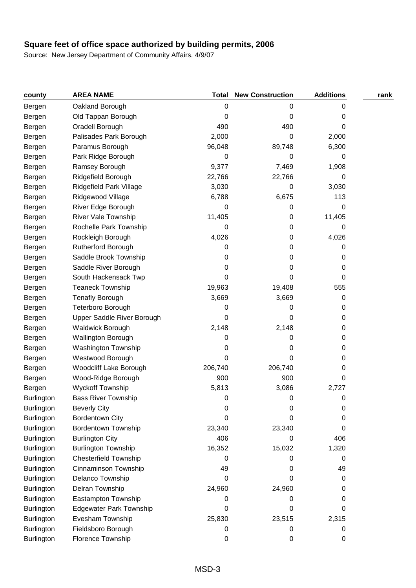| county            | <b>AREA NAME</b>               | Total   | <b>New Construction</b> | <b>Additions</b> | rank |
|-------------------|--------------------------------|---------|-------------------------|------------------|------|
| Bergen            | Oakland Borough                | 0       | 0                       | 0                |      |
| Bergen            | Old Tappan Borough             | 0       | 0                       | 0                |      |
| Bergen            | Oradell Borough                | 490     | 490                     | Ω                |      |
| Bergen            | Palisades Park Borough         | 2,000   | 0                       | 2,000            |      |
| Bergen            | Paramus Borough                | 96,048  | 89,748                  | 6,300            |      |
| Bergen            | Park Ridge Borough             | 0       | 0                       | 0                |      |
| Bergen            | Ramsey Borough                 | 9,377   | 7,469                   | 1,908            |      |
| Bergen            | Ridgefield Borough             | 22,766  | 22,766                  | 0                |      |
| Bergen            | Ridgefield Park Village        | 3,030   | 0                       | 3,030            |      |
| Bergen            | Ridgewood Village              | 6,788   | 6,675                   | 113              |      |
| Bergen            | River Edge Borough             | 0       | 0                       | 0                |      |
| Bergen            | River Vale Township            | 11,405  | 0                       | 11,405           |      |
| Bergen            | Rochelle Park Township         | 0       | 0                       | 0                |      |
| Bergen            | Rockleigh Borough              | 4,026   | 0                       | 4,026            |      |
| Bergen            | Rutherford Borough             | 0       | 0                       | 0                |      |
| Bergen            | Saddle Brook Township          | 0       | 0                       | 0                |      |
| Bergen            | Saddle River Borough           | 0       | 0                       | 0                |      |
| Bergen            | South Hackensack Twp           | 0       | 0                       | 0                |      |
| Bergen            | <b>Teaneck Township</b>        | 19,963  | 19,408                  | 555              |      |
| Bergen            | <b>Tenafly Borough</b>         | 3,669   | 3,669                   | 0                |      |
| Bergen            | Teterboro Borough              | 0       | 0                       | 0                |      |
| Bergen            | Upper Saddle River Borough     | 0       | 0                       | 0                |      |
| Bergen            | <b>Waldwick Borough</b>        | 2,148   | 2,148                   | 0                |      |
| Bergen            | Wallington Borough             | 0       | 0                       | 0                |      |
| Bergen            | Washington Township            | 0       | 0                       | 0                |      |
| Bergen            | Westwood Borough               | 0       | 0                       | 0                |      |
| Bergen            | Woodcliff Lake Borough         | 206,740 | 206,740                 | 0                |      |
| Bergen            | Wood-Ridge Borough             | 900     | 900                     | 0                |      |
| Bergen            | <b>Wyckoff Township</b>        | 5,813   | 3,086                   | 2,727            |      |
| <b>Burlington</b> | <b>Bass River Township</b>     | 0       | 0                       | 0                |      |
| <b>Burlington</b> | <b>Beverly City</b>            | 0       | 0                       | 0                |      |
| Burlington        | <b>Bordentown City</b>         | 0       | 0                       | 0                |      |
| <b>Burlington</b> | Bordentown Township            | 23,340  | 23,340                  | 0                |      |
| Burlington        | <b>Burlington City</b>         | 406     | 0                       | 406              |      |
| Burlington        | <b>Burlington Township</b>     | 16,352  | 15,032                  | 1,320            |      |
| <b>Burlington</b> | <b>Chesterfield Township</b>   | 0       | 0                       | 0                |      |
| <b>Burlington</b> | Cinnaminson Township           | 49      | 0                       | 49               |      |
| <b>Burlington</b> | Delanco Township               | 0       | 0                       | 0                |      |
| Burlington        | Delran Township                | 24,960  | 24,960                  | 0                |      |
| Burlington        | Eastampton Township            | 0       | 0                       | 0                |      |
| <b>Burlington</b> | <b>Edgewater Park Township</b> | 0       | 0                       | 0                |      |
| Burlington        | Evesham Township               | 25,830  | 23,515                  | 2,315            |      |
| <b>Burlington</b> | Fieldsboro Borough             | 0       | 0                       | 0                |      |
| <b>Burlington</b> | Florence Township              | 0       | 0                       | 0                |      |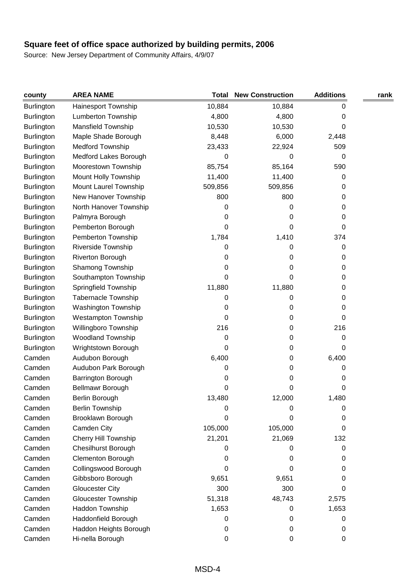| county            | <b>AREA NAME</b>           | Total   | <b>New Construction</b> | <b>Additions</b> | rank |
|-------------------|----------------------------|---------|-------------------------|------------------|------|
| Burlington        | Hainesport Township        | 10,884  | 10,884                  | 0                |      |
| <b>Burlington</b> | Lumberton Township         | 4,800   | 4,800                   | 0                |      |
| <b>Burlington</b> | <b>Mansfield Township</b>  | 10,530  | 10,530                  | 0                |      |
| <b>Burlington</b> | Maple Shade Borough        | 8,448   | 6,000                   | 2,448            |      |
| Burlington        | <b>Medford Township</b>    | 23,433  | 22,924                  | 509              |      |
| Burlington        | Medford Lakes Borough      | 0       | 0                       | 0                |      |
| Burlington        | Moorestown Township        | 85,754  | 85,164                  | 590              |      |
| <b>Burlington</b> | Mount Holly Township       | 11,400  | 11,400                  | 0                |      |
| Burlington        | Mount Laurel Township      | 509,856 | 509,856                 | 0                |      |
| <b>Burlington</b> | New Hanover Township       | 800     | 800                     | 0                |      |
| <b>Burlington</b> | North Hanover Township     | 0       | 0                       | 0                |      |
| <b>Burlington</b> | Palmyra Borough            | 0       | 0                       | 0                |      |
| <b>Burlington</b> | Pemberton Borough          | 0       | 0                       | 0                |      |
| Burlington        | Pemberton Township         | 1,784   | 1,410                   | 374              |      |
| <b>Burlington</b> | Riverside Township         | 0       | 0                       | 0                |      |
| <b>Burlington</b> | <b>Riverton Borough</b>    | 0       | 0                       | 0                |      |
| Burlington        | Shamong Township           | 0       | 0                       | 0                |      |
| <b>Burlington</b> | Southampton Township       | 0       | 0                       | 0                |      |
| Burlington        | Springfield Township       | 11,880  | 11,880                  | 0                |      |
| <b>Burlington</b> | <b>Tabernacle Township</b> | 0       | 0                       | 0                |      |
| Burlington        | Washington Township        | 0       | 0                       | 0                |      |
| <b>Burlington</b> | Westampton Township        | 0       | 0                       | 0                |      |
| <b>Burlington</b> | Willingboro Township       | 216     | 0                       | 216              |      |
| Burlington        | <b>Woodland Township</b>   | 0       | 0                       | 0                |      |
| <b>Burlington</b> | Wrightstown Borough        | 0       | 0                       | 0                |      |
| Camden            | Audubon Borough            | 6,400   | 0                       | 6,400            |      |
| Camden            | Audubon Park Borough       | 0       | 0                       | 0                |      |
| Camden            | Barrington Borough         | 0       | 0                       | 0                |      |
| Camden            | <b>Bellmawr Borough</b>    | 0       | 0                       | 0                |      |
| Camden            | Berlin Borough             | 13,480  | 12,000                  | 1,480            |      |
| Camden            | <b>Berlin Township</b>     | 0       | 0                       | 0                |      |
| Camden            | Brooklawn Borough          | 0       | 0                       | 0                |      |
| Camden            | Camden City                | 105,000 | 105,000                 | 0                |      |
| Camden            | Cherry Hill Township       | 21,201  | 21,069                  | 132              |      |
| Camden            | Chesilhurst Borough        | 0       | 0                       | 0                |      |
| Camden            | Clementon Borough          | 0       | 0                       | 0                |      |
| Camden            | Collingswood Borough       | 0       | 0                       | 0                |      |
| Camden            | Gibbsboro Borough          | 9,651   | 9,651                   | 0                |      |
| Camden            | <b>Gloucester City</b>     | 300     | 300                     | 0                |      |
| Camden            | <b>Gloucester Township</b> | 51,318  | 48,743                  | 2,575            |      |
| Camden            | Haddon Township            | 1,653   | 0                       | 1,653            |      |
| Camden            | Haddonfield Borough        | 0       | $\mathbf 0$             | 0                |      |
| Camden            | Haddon Heights Borough     | 0       | 0                       | 0                |      |
| Camden            | Hi-nella Borough           | 0       | 0                       | 0                |      |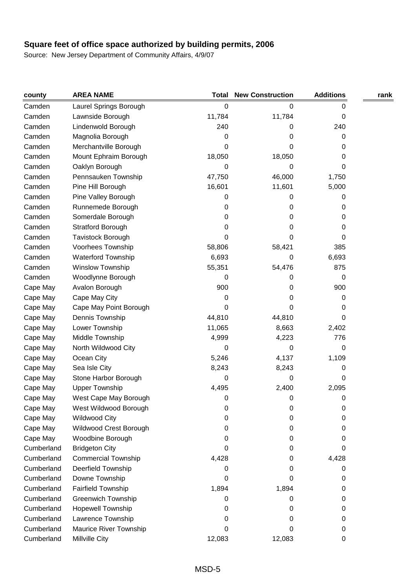| county     | <b>AREA NAME</b>           | Total  | <b>New Construction</b> | <b>Additions</b> | rank |
|------------|----------------------------|--------|-------------------------|------------------|------|
| Camden     | Laurel Springs Borough     | 0      | 0                       | 0                |      |
| Camden     | Lawnside Borough           | 11,784 | 11,784                  | 0                |      |
| Camden     | Lindenwold Borough         | 240    | 0                       | 240              |      |
| Camden     | Magnolia Borough           | 0      | 0                       | 0                |      |
| Camden     | Merchantville Borough      | 0      | 0                       | 0                |      |
| Camden     | Mount Ephraim Borough      | 18,050 | 18,050                  | 0                |      |
| Camden     | Oaklyn Borough             | 0      | 0                       | 0                |      |
| Camden     | Pennsauken Township        | 47,750 | 46,000                  | 1,750            |      |
| Camden     | Pine Hill Borough          | 16,601 | 11,601                  | 5,000            |      |
| Camden     | Pine Valley Borough        | 0      | 0                       | 0                |      |
| Camden     | Runnemede Borough          | 0      | 0                       | 0                |      |
| Camden     | Somerdale Borough          | 0      | 0                       | 0                |      |
| Camden     | <b>Stratford Borough</b>   | 0      | 0                       | 0                |      |
| Camden     | <b>Tavistock Borough</b>   | 0      | 0                       | 0                |      |
| Camden     | Voorhees Township          | 58,806 | 58,421                  | 385              |      |
| Camden     | <b>Waterford Township</b>  | 6,693  | 0                       | 6,693            |      |
| Camden     | <b>Winslow Township</b>    | 55,351 | 54,476                  | 875              |      |
| Camden     | Woodlynne Borough          | 0      | 0                       | 0                |      |
| Cape May   | Avalon Borough             | 900    | 0                       | 900              |      |
| Cape May   | Cape May City              | 0      | 0                       | 0                |      |
| Cape May   | Cape May Point Borough     | 0      | 0                       | 0                |      |
| Cape May   | Dennis Township            | 44,810 | 44,810                  | 0                |      |
| Cape May   | Lower Township             | 11,065 | 8,663                   | 2,402            |      |
| Cape May   | Middle Township            | 4,999  | 4,223                   | 776              |      |
| Cape May   | North Wildwood City        | 0      | 0                       | 0                |      |
| Cape May   | Ocean City                 | 5,246  | 4,137                   | 1,109            |      |
| Cape May   | Sea Isle City              | 8,243  | 8,243                   | 0                |      |
| Cape May   | Stone Harbor Borough       | 0      | 0                       | 0                |      |
| Cape May   | <b>Upper Township</b>      | 4,495  | 2,400                   | 2,095            |      |
| Cape May   | West Cape May Borough      | 0      | 0                       | 0                |      |
| Cape May   | West Wildwood Borough      | 0      | 0                       | 0                |      |
| Cape May   | <b>Wildwood City</b>       | 0      | 0                       | 0                |      |
| Cape May   | Wildwood Crest Borough     | 0      | 0                       | 0                |      |
| Cape May   | Woodbine Borough           | 0      | 0                       | 0                |      |
| Cumberland | <b>Bridgeton City</b>      | 0      | 0                       | Ω                |      |
| Cumberland | <b>Commercial Township</b> | 4,428  | 0                       | 4,428            |      |
| Cumberland | Deerfield Township         | 0      | 0                       | 0                |      |
| Cumberland | Downe Township             | 0      | 0                       | 0                |      |
| Cumberland | <b>Fairfield Township</b>  | 1,894  | 1,894                   | 0                |      |
| Cumberland | <b>Greenwich Township</b>  | 0      | 0                       | 0                |      |
| Cumberland | <b>Hopewell Township</b>   | 0      | 0                       | 0                |      |
| Cumberland | Lawrence Township          | 0      | 0                       | 0                |      |
| Cumberland | Maurice River Township     | 0      | 0                       | 0                |      |
| Cumberland | Millville City             | 12,083 | 12,083                  | 0                |      |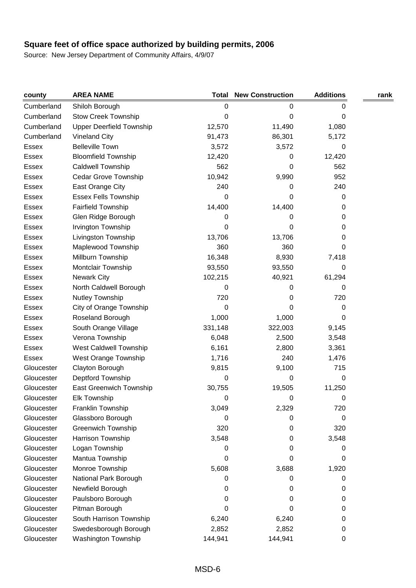| county     | <b>AREA NAME</b>                | Total     | <b>New Construction</b> | <b>Additions</b> | rank |
|------------|---------------------------------|-----------|-------------------------|------------------|------|
| Cumberland | Shiloh Borough                  | $\pmb{0}$ | $\mathbf 0$             | 0                |      |
| Cumberland | <b>Stow Creek Township</b>      | 0         | 0                       | 0                |      |
| Cumberland | <b>Upper Deerfield Township</b> | 12,570    | 11,490                  | 1,080            |      |
| Cumberland | <b>Vineland City</b>            | 91,473    | 86,301                  | 5,172            |      |
| Essex      | <b>Belleville Town</b>          | 3,572     | 3,572                   | 0                |      |
| Essex      | <b>Bloomfield Township</b>      | 12,420    | 0                       | 12,420           |      |
| Essex      | Caldwell Township               | 562       | 0                       | 562              |      |
| Essex      | Cedar Grove Township            | 10,942    | 9,990                   | 952              |      |
| Essex      | East Orange City                | 240       | 0                       | 240              |      |
| Essex      | Essex Fells Township            | 0         | 0                       | 0                |      |
| Essex      | <b>Fairfield Township</b>       | 14,400    | 14,400                  | 0                |      |
| Essex      | Glen Ridge Borough              | 0         | 0                       | 0                |      |
| Essex      | Irvington Township              | 0         | 0                       | 0                |      |
| Essex      | Livingston Township             | 13,706    | 13,706                  | 0                |      |
| Essex      | Maplewood Township              | 360       | 360                     | 0                |      |
| Essex      | Millburn Township               | 16,348    | 8,930                   | 7,418            |      |
| Essex      | Montclair Township              | 93,550    | 93,550                  | 0                |      |
| Essex      | <b>Newark City</b>              | 102,215   | 40,921                  | 61,294           |      |
| Essex      | North Caldwell Borough          | 0         | 0                       | 0                |      |
| Essex      | Nutley Township                 | 720       | 0                       | 720              |      |
| Essex      | City of Orange Township         | 0         | 0                       | 0                |      |
| Essex      | Roseland Borough                | 1,000     | 1,000                   | 0                |      |
| Essex      | South Orange Village            | 331,148   | 322,003                 | 9,145            |      |
| Essex      | Verona Township                 | 6,048     | 2,500                   | 3,548            |      |
| Essex      | West Caldwell Township          | 6,161     | 2,800                   | 3,361            |      |
| Essex      | West Orange Township            | 1,716     | 240                     | 1,476            |      |
| Gloucester | Clayton Borough                 | 9,815     | 9,100                   | 715              |      |
| Gloucester | Deptford Township               | 0         | 0                       | 0                |      |
| Gloucester | East Greenwich Township         | 30,755    | 19,505                  | 11,250           |      |
| Gloucester | <b>Elk Township</b>             | 0         | 0                       | 0                |      |
| Gloucester | Franklin Township               | 3,049     | 2,329                   | 720              |      |
| Gloucester | Glassboro Borough               | 0         | 0                       | 0                |      |
| Gloucester | <b>Greenwich Township</b>       | 320       | 0                       | 320              |      |
| Gloucester | Harrison Township               | 3,548     | 0                       | 3,548            |      |
| Gloucester | Logan Township                  | 0         | 0                       | 0                |      |
| Gloucester | Mantua Township                 | 0         | 0                       | 0                |      |
| Gloucester | Monroe Township                 | 5,608     | 3,688                   | 1,920            |      |
| Gloucester | National Park Borough           | 0         | 0                       | 0                |      |
| Gloucester | Newfield Borough                | 0         | 0                       | 0                |      |
| Gloucester | Paulsboro Borough               | 0         | 0                       | 0                |      |
| Gloucester | Pitman Borough                  | 0         | 0                       | 0                |      |
| Gloucester | South Harrison Township         | 6,240     | 6,240                   | 0                |      |
| Gloucester | Swedesborough Borough           | 2,852     | 2,852                   | 0                |      |
| Gloucester | Washington Township             | 144,941   | 144,941                 | 0                |      |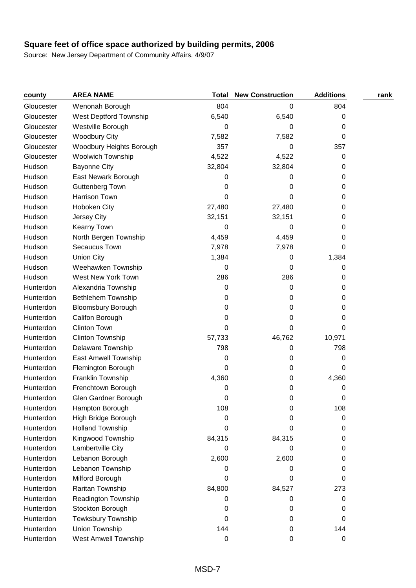| county     | <b>AREA NAME</b>          | Total  | <b>New Construction</b> | <b>Additions</b> | rank |
|------------|---------------------------|--------|-------------------------|------------------|------|
| Gloucester | Wenonah Borough           | 804    | $\mathbf 0$             | 804              |      |
| Gloucester | West Deptford Township    | 6,540  | 6,540                   | 0                |      |
| Gloucester | Westville Borough         | 0      | 0                       | 0                |      |
| Gloucester | <b>Woodbury City</b>      | 7,582  | 7,582                   | 0                |      |
| Gloucester | Woodbury Heights Borough  | 357    | 0                       | 357              |      |
| Gloucester | Woolwich Township         | 4,522  | 4,522                   | 0                |      |
| Hudson     | <b>Bayonne City</b>       | 32,804 | 32,804                  | 0                |      |
| Hudson     | East Newark Borough       | 0      | 0                       | 0                |      |
| Hudson     | Guttenberg Town           | 0      | 0                       | 0                |      |
| Hudson     | Harrison Town             | 0      | 0                       | 0                |      |
| Hudson     | Hoboken City              | 27,480 | 27,480                  | 0                |      |
| Hudson     | Jersey City               | 32,151 | 32,151                  | 0                |      |
| Hudson     | Kearny Town               | 0      | 0                       | 0                |      |
| Hudson     | North Bergen Township     | 4,459  | 4,459                   | 0                |      |
| Hudson     | Secaucus Town             | 7,978  | 7,978                   | 0                |      |
| Hudson     | <b>Union City</b>         | 1,384  | 0                       | 1,384            |      |
| Hudson     | Weehawken Township        | 0      | 0                       | 0                |      |
| Hudson     | West New York Town        | 286    | 286                     | 0                |      |
| Hunterdon  | Alexandria Township       | 0      | 0                       | 0                |      |
| Hunterdon  | <b>Bethlehem Township</b> | 0      | 0                       | 0                |      |
| Hunterdon  | <b>Bloomsbury Borough</b> | 0      | 0                       | 0                |      |
| Hunterdon  | Califon Borough           | 0      | 0                       | 0                |      |
| Hunterdon  | Clinton Town              | 0      | 0                       | 0                |      |
| Hunterdon  | Clinton Township          | 57,733 | 46,762                  | 10,971           |      |
| Hunterdon  | Delaware Township         | 798    | 0                       | 798              |      |
| Hunterdon  | East Amwell Township      | 0      | 0                       | 0                |      |
| Hunterdon  | Flemington Borough        | 0      | 0                       | 0                |      |
| Hunterdon  | Franklin Township         | 4,360  | 0                       | 4,360            |      |
| Hunterdon  | Frenchtown Borough        | 0      | 0                       | 0                |      |
| Hunterdon  | Glen Gardner Borough      | 0      | 0                       | 0                |      |
| Hunterdon  | Hampton Borough           | 108    | 0                       | 108              |      |
| Hunterdon  | High Bridge Borough       | 0      | 0                       | 0                |      |
| Hunterdon  | <b>Holland Township</b>   | 0      | 0                       | 0                |      |
| Hunterdon  | Kingwood Township         | 84,315 | 84,315                  | 0                |      |
| Hunterdon  | Lambertville City         | 0      | 0                       | 0                |      |
| Hunterdon  | Lebanon Borough           | 2,600  | 2,600                   | 0                |      |
| Hunterdon  | Lebanon Township          | 0      | 0                       | 0                |      |
| Hunterdon  | Milford Borough           | 0      | 0                       | 0                |      |
| Hunterdon  | Raritan Township          | 84,800 | 84,527                  | 273              |      |
| Hunterdon  | Readington Township       | 0      | 0                       | 0                |      |
| Hunterdon  | Stockton Borough          | 0      | 0                       | 0                |      |
| Hunterdon  | <b>Tewksbury Township</b> | 0      | 0                       | 0                |      |
| Hunterdon  | Union Township            | 144    | 0                       | 144              |      |
| Hunterdon  | West Amwell Township      | 0      | $\boldsymbol{0}$        | $\mathbf 0$      |      |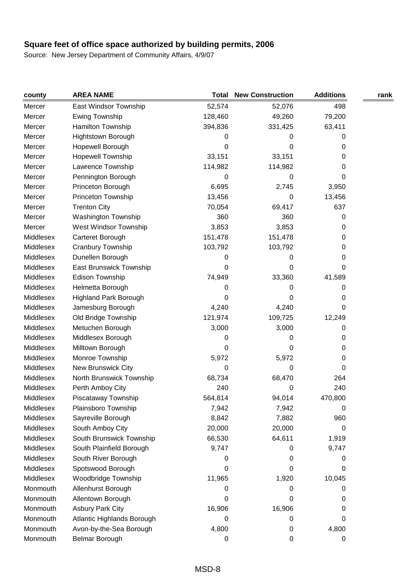| county    | <b>AREA NAME</b>             | Total   | <b>New Construction</b> | <b>Additions</b> | rank |
|-----------|------------------------------|---------|-------------------------|------------------|------|
| Mercer    | East Windsor Township        | 52,574  | 52,076                  | 498              |      |
| Mercer    | <b>Ewing Township</b>        | 128,460 | 49,260                  | 79,200           |      |
| Mercer    | Hamilton Township            | 394,836 | 331,425                 | 63,411           |      |
| Mercer    | Hightstown Borough           | 0       | 0                       | 0                |      |
| Mercer    | Hopewell Borough             | 0       | 0                       | 0                |      |
| Mercer    | <b>Hopewell Township</b>     | 33,151  | 33,151                  | 0                |      |
| Mercer    | Lawrence Township            | 114,982 | 114,982                 | 0                |      |
| Mercer    | Pennington Borough           | 0       | 0                       | 0                |      |
| Mercer    | Princeton Borough            | 6,695   | 2,745                   | 3,950            |      |
| Mercer    | Princeton Township           | 13,456  | 0                       | 13,456           |      |
| Mercer    | <b>Trenton City</b>          | 70,054  | 69,417                  | 637              |      |
| Mercer    | Washington Township          | 360     | 360                     | 0                |      |
| Mercer    | West Windsor Township        | 3,853   | 3,853                   | 0                |      |
| Middlesex | Carteret Borough             | 151,478 | 151,478                 | 0                |      |
| Middlesex | Cranbury Township            | 103,792 | 103,792                 | 0                |      |
| Middlesex | Dunellen Borough             | 0       | 0                       | 0                |      |
| Middlesex | East Brunswick Township      | 0       | 0                       | 0                |      |
| Middlesex | Edison Township              | 74,949  | 33,360                  | 41,589           |      |
| Middlesex | Helmetta Borough             | 0       | 0                       | 0                |      |
| Middlesex | <b>Highland Park Borough</b> | 0       | 0                       | 0                |      |
| Middlesex | Jamesburg Borough            | 4,240   | 4,240                   | 0                |      |
| Middlesex | Old Bridge Township          | 121,974 | 109,725                 | 12,249           |      |
| Middlesex | Metuchen Borough             | 3,000   | 3,000                   | 0                |      |
| Middlesex | Middlesex Borough            | 0       | 0                       | 0                |      |
| Middlesex | Milltown Borough             | 0       | 0                       | 0                |      |
| Middlesex | Monroe Township              | 5,972   | 5,972                   | 0                |      |
| Middlesex | New Brunswick City           | 0       | 0                       | 0                |      |
| Middlesex | North Brunswick Township     | 68,734  | 68,470                  | 264              |      |
| Middlesex | Perth Amboy City             | 240     | 0                       | 240              |      |
| Middlesex | Piscataway Township          | 564,814 | 94,014                  | 470,800          |      |
| Middlesex | Plainsboro Township          | 7,942   | 7,942                   | 0                |      |
| Middlesex | Sayreville Borough           | 8,842   | 7,882                   | 960              |      |
| Middlesex | South Amboy City             | 20,000  | 20,000                  | 0                |      |
| Middlesex | South Brunswick Township     | 66,530  | 64,611                  | 1,919            |      |
| Middlesex | South Plainfield Borough     | 9,747   | 0                       | 9,747            |      |
| Middlesex | South River Borough          | 0       | 0                       | 0                |      |
| Middlesex | Spotswood Borough            | 0       | 0                       | 0                |      |
| Middlesex | Woodbridge Township          | 11,965  | 1,920                   | 10,045           |      |
| Monmouth  | Allenhurst Borough           | 0       | 0                       | 0                |      |
| Monmouth  | Allentown Borough            | O       | 0                       | 0                |      |
| Monmouth  | <b>Asbury Park City</b>      | 16,906  | 16,906                  | 0                |      |
| Monmouth  | Atlantic Highlands Borough   | 0       | 0                       | 0                |      |
| Monmouth  | Avon-by-the-Sea Borough      | 4,800   | 0                       | 4,800            |      |
| Monmouth  | Belmar Borough               | 0       | 0                       | 0                |      |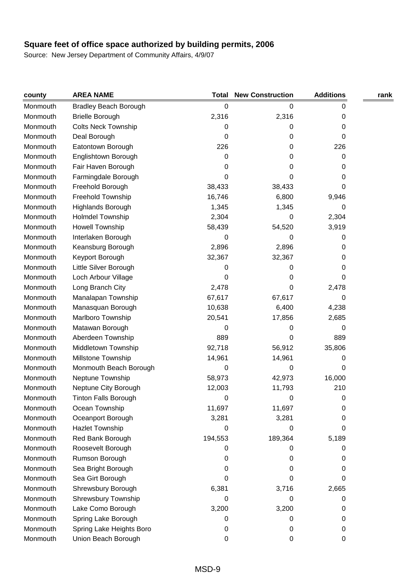| county   | <b>AREA NAME</b>             | Total   | <b>New Construction</b> | <b>Additions</b> | rank |
|----------|------------------------------|---------|-------------------------|------------------|------|
| Monmouth | <b>Bradley Beach Borough</b> | 0       | 0                       | 0                |      |
| Monmouth | <b>Brielle Borough</b>       | 2,316   | 2,316                   | 0                |      |
| Monmouth | <b>Colts Neck Township</b>   | 0       | 0                       | 0                |      |
| Monmouth | Deal Borough                 | 0       | 0                       | 0                |      |
| Monmouth | Eatontown Borough            | 226     | 0                       | 226              |      |
| Monmouth | Englishtown Borough          | 0       | 0                       | 0                |      |
| Monmouth | Fair Haven Borough           | 0       | 0                       | 0                |      |
| Monmouth | Farmingdale Borough          | 0       | 0                       | 0                |      |
| Monmouth | Freehold Borough             | 38,433  | 38,433                  | 0                |      |
| Monmouth | Freehold Township            | 16,746  | 6,800                   | 9,946            |      |
| Monmouth | Highlands Borough            | 1,345   | 1,345                   | 0                |      |
| Monmouth | Holmdel Township             | 2,304   | 0                       | 2,304            |      |
| Monmouth | <b>Howell Township</b>       | 58,439  | 54,520                  | 3,919            |      |
| Monmouth | Interlaken Borough           | 0       | 0                       | 0                |      |
| Monmouth | Keansburg Borough            | 2,896   | 2,896                   | 0                |      |
| Monmouth | Keyport Borough              | 32,367  | 32,367                  | 0                |      |
| Monmouth | Little Silver Borough        | 0       | 0                       | 0                |      |
| Monmouth | Loch Arbour Village          | 0       | 0                       | 0                |      |
| Monmouth | Long Branch City             | 2,478   | 0                       | 2,478            |      |
| Monmouth | Manalapan Township           | 67,617  | 67,617                  | 0                |      |
| Monmouth | Manasquan Borough            | 10,638  | 6,400                   | 4,238            |      |
| Monmouth | Marlboro Township            | 20,541  | 17,856                  | 2,685            |      |
| Monmouth | Matawan Borough              | 0       | 0                       | 0                |      |
| Monmouth | Aberdeen Township            | 889     | 0                       | 889              |      |
| Monmouth | Middletown Township          | 92,718  | 56,912                  | 35,806           |      |
| Monmouth | Millstone Township           | 14,961  | 14,961                  | 0                |      |
| Monmouth | Monmouth Beach Borough       | 0       | 0                       | 0                |      |
| Monmouth | Neptune Township             | 58,973  | 42,973                  | 16,000           |      |
| Monmouth | Neptune City Borough         | 12,003  | 11,793                  | 210              |      |
| Monmouth | <b>Tinton Falls Borough</b>  | 0       | 0                       | 0                |      |
| Monmouth | Ocean Township               | 11,697  | 11,697                  | 0                |      |
| Monmouth | Oceanport Borough            | 3,281   | 3,281                   | 0                |      |
| Monmouth | <b>Hazlet Township</b>       | 0       | 0                       | 0                |      |
| Monmouth | Red Bank Borough             | 194,553 | 189,364                 | 5,189            |      |
| Monmouth | Roosevelt Borough            | 0       | O                       | 0                |      |
| Monmouth | Rumson Borough               | 0       | 0                       | 0                |      |
| Monmouth | Sea Bright Borough           | 0       | 0                       | 0                |      |
| Monmouth | Sea Girt Borough             | 0       | 0                       | 0                |      |
| Monmouth | Shrewsbury Borough           | 6,381   | 3,716                   | 2,665            |      |
| Monmouth | Shrewsbury Township          | 0       | 0                       | 0                |      |
| Monmouth | Lake Como Borough            | 3,200   | 3,200                   | 0                |      |
| Monmouth | Spring Lake Borough          | 0       | 0                       | 0                |      |
| Monmouth | Spring Lake Heights Boro     | 0       | 0                       | 0                |      |
| Monmouth | Union Beach Borough          | 0       | 0                       | 0                |      |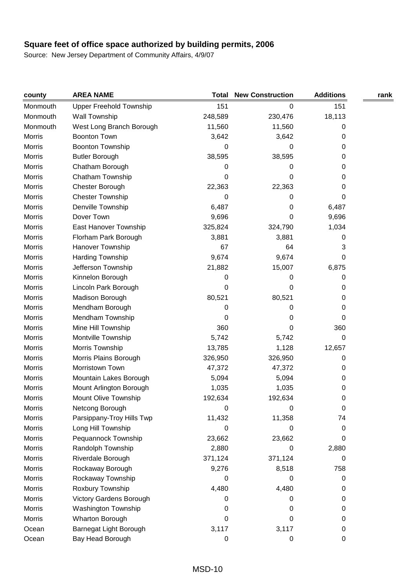| county        | <b>AREA NAME</b>               | <b>Total</b> | <b>New Construction</b> | <b>Additions</b> | rank |
|---------------|--------------------------------|--------------|-------------------------|------------------|------|
| Monmouth      | <b>Upper Freehold Township</b> | 151          | 0                       | 151              |      |
| Monmouth      | Wall Township                  | 248,589      | 230,476                 | 18,113           |      |
| Monmouth      | West Long Branch Borough       | 11,560       | 11,560                  | 0                |      |
| <b>Morris</b> | <b>Boonton Town</b>            | 3,642        | 3,642                   | 0                |      |
| Morris        | Boonton Township               | 0            | 0                       | 0                |      |
| Morris        | <b>Butler Borough</b>          | 38,595       | 38,595                  | 0                |      |
| Morris        | Chatham Borough                | 0            | 0                       | 0                |      |
| Morris        | Chatham Township               | 0            | 0                       | 0                |      |
| <b>Morris</b> | Chester Borough                | 22,363       | 22,363                  | 0                |      |
| Morris        | <b>Chester Township</b>        | 0            | 0                       | 0                |      |
| <b>Morris</b> | Denville Township              | 6,487        | 0                       | 6,487            |      |
| Morris        | Dover Town                     | 9,696        | 0                       | 9,696            |      |
| Morris        | East Hanover Township          | 325,824      | 324,790                 | 1,034            |      |
| <b>Morris</b> | Florham Park Borough           | 3,881        | 3,881                   | 0                |      |
| Morris        | Hanover Township               | 67           | 64                      | 3                |      |
| <b>Morris</b> | Harding Township               | 9,674        | 9,674                   | 0                |      |
| Morris        | Jefferson Township             | 21,882       | 15,007                  | 6,875            |      |
| Morris        | Kinnelon Borough               | 0            | 0                       | 0                |      |
| <b>Morris</b> | Lincoln Park Borough           | 0            | 0                       | 0                |      |
| Morris        | Madison Borough                | 80,521       | 80,521                  | 0                |      |
| <b>Morris</b> | Mendham Borough                | 0            | 0                       | 0                |      |
| Morris        | Mendham Township               | 0            | 0                       | 0                |      |
| Morris        | Mine Hill Township             | 360          | 0                       | 360              |      |
| <b>Morris</b> | Montville Township             | 5,742        | 5,742                   | 0                |      |
| Morris        | Morris Township                | 13,785       | 1,128                   | 12,657           |      |
| <b>Morris</b> | Morris Plains Borough          | 326,950      | 326,950                 | 0                |      |
| <b>Morris</b> | Morristown Town                | 47,372       | 47,372                  | 0                |      |
| Morris        | Mountain Lakes Borough         | 5,094        | 5,094                   | 0                |      |
| <b>Morris</b> | Mount Arlington Borough        | 1,035        | 1,035                   | 0                |      |
| Morris        | <b>Mount Olive Township</b>    | 192,634      | 192,634                 | 0                |      |
| <b>Morris</b> | Netcong Borough                | 0            | 0                       | 0                |      |
| Morris        | Parsippany-Troy Hills Twp      | 11,432       | 11,358                  | 74               |      |
| Morris        | Long Hill Township             | 0            | 0                       | 0                |      |
| <b>Morris</b> | Pequannock Township            | 23,662       | 23,662                  | 0                |      |
| <b>Morris</b> | Randolph Township              | 2,880        | 0                       | 2,880            |      |
| Morris        | Riverdale Borough              | 371,124      | 371,124                 | 0                |      |
| Morris        | Rockaway Borough               | 9,276        | 8,518                   | 758              |      |
| Morris        | Rockaway Township              | 0            | 0                       | 0                |      |
| <b>Morris</b> | Roxbury Township               | 4,480        | 4,480                   | 0                |      |
| <b>Morris</b> | Victory Gardens Borough        | 0            | 0                       | 0                |      |
| Morris        | Washington Township            | 0            | 0                       | 0                |      |
| <b>Morris</b> | Wharton Borough                | 0            | 0                       | 0                |      |
| Ocean         | Barnegat Light Borough         | 3,117        | 3,117                   | 0                |      |
| Ocean         | Bay Head Borough               | $\pmb{0}$    | 0                       | 0                |      |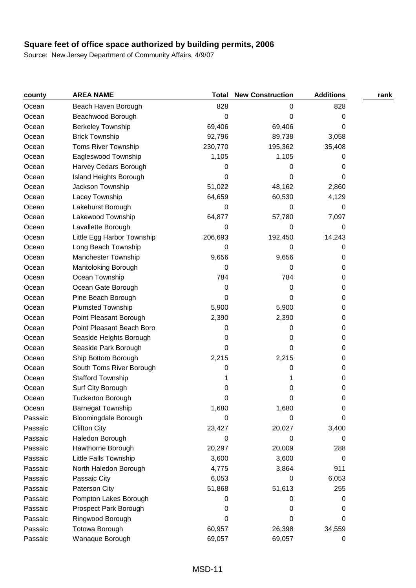| county  | <b>AREA NAME</b>            | <b>Total</b> | <b>New Construction</b> | <b>Additions</b> | rank |
|---------|-----------------------------|--------------|-------------------------|------------------|------|
| Ocean   | Beach Haven Borough         | 828          | 0                       | 828              |      |
| Ocean   | Beachwood Borough           | 0            | 0                       | 0                |      |
| Ocean   | <b>Berkeley Township</b>    | 69,406       | 69,406                  | 0                |      |
| Ocean   | <b>Brick Township</b>       | 92,796       | 89,738                  | 3,058            |      |
| Ocean   | Toms River Township         | 230,770      | 195,362                 | 35,408           |      |
| Ocean   | Eagleswood Township         | 1,105        | 1,105                   | 0                |      |
| Ocean   | Harvey Cedars Borough       | 0            | 0                       | 0                |      |
| Ocean   | Island Heights Borough      | 0            | 0                       | 0                |      |
| Ocean   | Jackson Township            | 51,022       | 48,162                  | 2,860            |      |
| Ocean   | Lacey Township              | 64,659       | 60,530                  | 4,129            |      |
| Ocean   | Lakehurst Borough           | 0            | 0                       | 0                |      |
| Ocean   | Lakewood Township           | 64,877       | 57,780                  | 7,097            |      |
| Ocean   | Lavallette Borough          | 0            | 0                       | 0                |      |
| Ocean   | Little Egg Harbor Township  | 206,693      | 192,450                 | 14,243           |      |
| Ocean   | Long Beach Township         | 0            | 0                       | 0                |      |
| Ocean   | Manchester Township         | 9,656        | 9,656                   | 0                |      |
| Ocean   | Mantoloking Borough         | 0            | 0                       | 0                |      |
| Ocean   | Ocean Township              | 784          | 784                     | 0                |      |
| Ocean   | Ocean Gate Borough          | 0            | 0                       | 0                |      |
| Ocean   | Pine Beach Borough          | 0            | 0                       | 0                |      |
| Ocean   | <b>Plumsted Township</b>    | 5,900        | 5,900                   | 0                |      |
| Ocean   | Point Pleasant Borough      | 2,390        | 2,390                   | 0                |      |
| Ocean   | Point Pleasant Beach Boro   | 0            | 0                       | 0                |      |
| Ocean   | Seaside Heights Borough     | 0            | 0                       | 0                |      |
| Ocean   | Seaside Park Borough        | 0            | 0                       | 0                |      |
| Ocean   | Ship Bottom Borough         | 2,215        | 2,215                   | 0                |      |
| Ocean   | South Toms River Borough    | 0            | 0                       | 0                |      |
| Ocean   | <b>Stafford Township</b>    | 1            |                         | 0                |      |
| Ocean   | Surf City Borough           | 0            | 0                       | 0                |      |
| Ocean   | <b>Tuckerton Borough</b>    | 0            | 0                       | 0                |      |
| Ocean   | <b>Barnegat Township</b>    | 1,680        | 1,680                   | 0                |      |
| Passaic | <b>Bloomingdale Borough</b> | 0            | 0                       | 0                |      |
| Passaic | <b>Clifton City</b>         | 23,427       | 20,027                  | 3,400            |      |
| Passaic | Haledon Borough             | 0            | 0                       | 0                |      |
| Passaic | Hawthorne Borough           | 20,297       | 20,009                  | 288              |      |
| Passaic | Little Falls Township       | 3,600        | 3,600                   | 0                |      |
| Passaic | North Haledon Borough       | 4,775        | 3,864                   | 911              |      |
| Passaic | Passaic City                | 6,053        | 0                       | 6,053            |      |
| Passaic | Paterson City               | 51,868       | 51,613                  | 255              |      |
| Passaic | Pompton Lakes Borough       | 0            | 0                       | 0                |      |
| Passaic | Prospect Park Borough       | 0            | 0                       | 0                |      |
| Passaic | Ringwood Borough            | 0            | $\boldsymbol{0}$        | 0                |      |
| Passaic | Totowa Borough              | 60,957       | 26,398                  | 34,559           |      |
| Passaic | Wanaque Borough             | 69,057       | 69,057                  | 0                |      |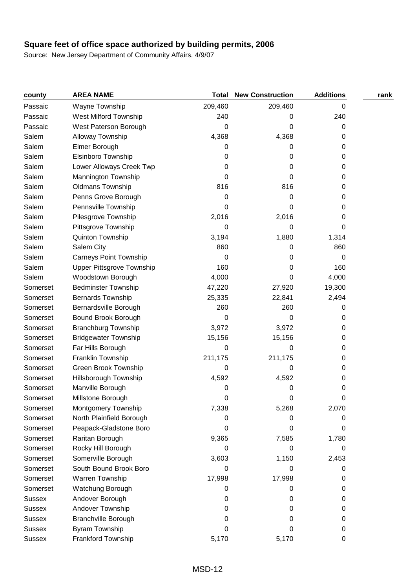| county        | <b>AREA NAME</b>              | Total   | <b>New Construction</b> | <b>Additions</b> | rank |
|---------------|-------------------------------|---------|-------------------------|------------------|------|
| Passaic       | Wayne Township                | 209,460 | 209,460                 | 0                |      |
| Passaic       | West Milford Township         | 240     | 0                       | 240              |      |
| Passaic       | West Paterson Borough         | 0       | 0                       | 0                |      |
| Salem         | Alloway Township              | 4,368   | 4,368                   | 0                |      |
| Salem         | Elmer Borough                 | 0       | 0                       | 0                |      |
| Salem         | Elsinboro Township            | 0       | 0                       | 0                |      |
| Salem         | Lower Alloways Creek Twp      | 0       | 0                       | 0                |      |
| Salem         | Mannington Township           | 0       | 0                       | 0                |      |
| Salem         | <b>Oldmans Township</b>       | 816     | 816                     | 0                |      |
| Salem         | Penns Grove Borough           | 0       | 0                       | 0                |      |
| Salem         | Pennsville Township           | 0       | 0                       | 0                |      |
| Salem         | Pilesgrove Township           | 2,016   | 2,016                   | 0                |      |
| Salem         | Pittsgrove Township           | 0       | 0                       | 0                |      |
| Salem         | Quinton Township              | 3,194   | 1,880                   | 1,314            |      |
| Salem         | Salem City                    | 860     | 0                       | 860              |      |
| Salem         | <b>Carneys Point Township</b> | 0       | 0                       | 0                |      |
| Salem         | Upper Pittsgrove Township     | 160     | 0                       | 160              |      |
| Salem         | Woodstown Borough             | 4,000   | 0                       | 4,000            |      |
| Somerset      | <b>Bedminster Township</b>    | 47,220  | 27,920                  | 19,300           |      |
| Somerset      | <b>Bernards Township</b>      | 25,335  | 22,841                  | 2,494            |      |
| Somerset      | Bernardsville Borough         | 260     | 260                     | 0                |      |
| Somerset      | Bound Brook Borough           | 0       | 0                       | 0                |      |
| Somerset      | <b>Branchburg Township</b>    | 3,972   | 3,972                   | 0                |      |
| Somerset      | <b>Bridgewater Township</b>   | 15,156  | 15,156                  | 0                |      |
| Somerset      | Far Hills Borough             | 0       | 0                       | 0                |      |
| Somerset      | Franklin Township             | 211,175 | 211,175                 | 0                |      |
| Somerset      | Green Brook Township          | 0       | 0                       | 0                |      |
| Somerset      | Hillsborough Township         | 4,592   | 4,592                   | 0                |      |
| Somerset      | Manville Borough              | 0       | 0                       | 0                |      |
| Somerset      | Millstone Borough             | 0       | 0                       | 0                |      |
| Somerset      | Montgomery Township           | 7,338   | 5,268                   | 2,070            |      |
| Somerset      | North Plainfield Borough      | 0       | 0                       | 0                |      |
| Somerset      | Peapack-Gladstone Boro        | 0       | 0                       | 0                |      |
| Somerset      | Raritan Borough               | 9,365   | 7,585                   | 1,780            |      |
| Somerset      | Rocky Hill Borough            | 0       | 0                       | 0                |      |
| Somerset      | Somerville Borough            | 3,603   | 1,150                   | 2,453            |      |
| Somerset      | South Bound Brook Boro        | 0       | 0                       | 0                |      |
| Somerset      | Warren Township               | 17,998  | 17,998                  | 0                |      |
| Somerset      | Watchung Borough              | 0       | 0                       | 0                |      |
| <b>Sussex</b> | Andover Borough               | 0       | 0                       | 0                |      |
| <b>Sussex</b> | Andover Township              | 0       | 0                       | 0                |      |
| <b>Sussex</b> | <b>Branchville Borough</b>    | 0       | 0                       | 0                |      |
| <b>Sussex</b> | Byram Township                | 0       | 0                       | 0                |      |
| <b>Sussex</b> | Frankford Township            | 5,170   | 5,170                   | 0                |      |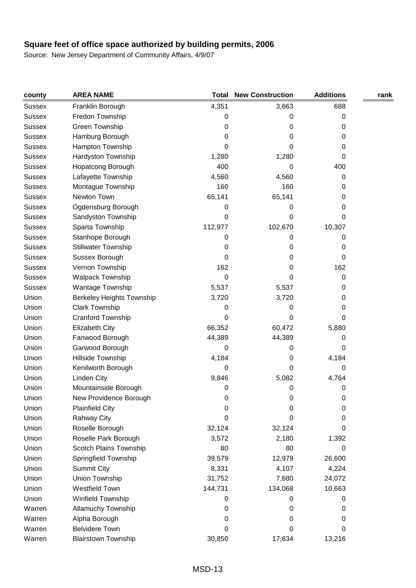| county        | <b>AREA NAME</b>                 | Total   | <b>New Construction</b> | <b>Additions</b> | rank |
|---------------|----------------------------------|---------|-------------------------|------------------|------|
| <b>Sussex</b> | Franklin Borough                 | 4,351   | 3,663                   | 688              |      |
| <b>Sussex</b> | Fredon Township                  | 0       | 0                       | 0                |      |
| <b>Sussex</b> | Green Township                   | 0       | 0                       | 0                |      |
| <b>Sussex</b> | Hamburg Borough                  | 0       | 0                       | 0                |      |
| <b>Sussex</b> | Hampton Township                 | 0       | 0                       | 0                |      |
| <b>Sussex</b> | Hardyston Township               | 1,280   | 1,280                   | 0                |      |
| <b>Sussex</b> | Hopatcong Borough                | 400     | 0                       | 400              |      |
| <b>Sussex</b> | Lafayette Township               | 4,560   | 4,560                   | 0                |      |
| <b>Sussex</b> | Montague Township                | 160     | 160                     | 0                |      |
| <b>Sussex</b> | Newton Town                      | 65,141  | 65,141                  | 0                |      |
| <b>Sussex</b> | Ogdensburg Borough               | 0       | 0                       | 0                |      |
| <b>Sussex</b> | Sandyston Township               | 0       | 0                       | 0                |      |
| <b>Sussex</b> | Sparta Township                  | 112,977 | 102,670                 | 10,307           |      |
| <b>Sussex</b> | Stanhope Borough                 | 0       | 0                       | 0                |      |
| <b>Sussex</b> | <b>Stillwater Township</b>       | 0       | 0                       | 0                |      |
| <b>Sussex</b> | Sussex Borough                   | 0       | 0                       | 0                |      |
| <b>Sussex</b> | Vernon Township                  | 162     | 0                       | 162              |      |
| <b>Sussex</b> | <b>Walpack Township</b>          | 0       | 0                       | 0                |      |
| <b>Sussex</b> | Wantage Township                 | 5,537   | 5,537                   | 0                |      |
| Union         | <b>Berkeley Heights Township</b> | 3,720   | 3,720                   | 0                |      |
| Union         | <b>Clark Township</b>            | 0       | 0                       | 0                |      |
| Union         | Cranford Township                | 0       | 0                       | 0                |      |
| Union         | <b>Elizabeth City</b>            | 66,352  | 60,472                  | 5,880            |      |
| Union         | Fanwood Borough                  | 44,389  | 44,389                  | 0                |      |
| Union         | Garwood Borough                  | 0       | 0                       | 0                |      |
| Union         | Hillside Township                | 4,184   | 0                       | 4,184            |      |
| Union         | Kenilworth Borough               | 0       | 0                       | 0                |      |
| Union         | <b>Linden City</b>               | 9,846   | 5,082                   | 4,764            |      |
| Union         | Mountainside Borough             | 0       | 0                       | 0                |      |
| Union         | New Providence Borough           | 0       | 0                       | 0                |      |
| Union         | <b>Plainfield City</b>           | 0       | $\boldsymbol{0}$        | $\pmb{0}$        |      |
| Union         | <b>Rahway City</b>               | 0       | 0                       | 0                |      |
| Union         | Roselle Borough                  | 32,124  | 32,124                  | 0                |      |
| Union         | Roselle Park Borough             | 3,572   | 2,180                   | 1,392            |      |
| Union         | Scotch Plains Township           | 80      | 80                      | 0                |      |
| Union         | Springfield Township             | 39,579  | 12,979                  | 26,600           |      |
| Union         | <b>Summit City</b>               | 8,331   | 4,107                   | 4,224            |      |
| Union         | Union Township                   | 31,752  | 7,680                   | 24,072           |      |
| Union         | Westfield Town                   | 144,731 | 134,068                 | 10,663           |      |
| Union         | Winfield Township                | 0       | 0                       | 0                |      |
| Warren        | <b>Allamuchy Township</b>        | 0       | 0                       | 0                |      |
| Warren        | Alpha Borough                    | 0       | 0                       | 0                |      |
| Warren        | <b>Belvidere Town</b>            | 0       | 0                       | 0                |      |
| Warren        | <b>Blairstown Township</b>       | 30,850  | 17,634                  | 13,216           |      |